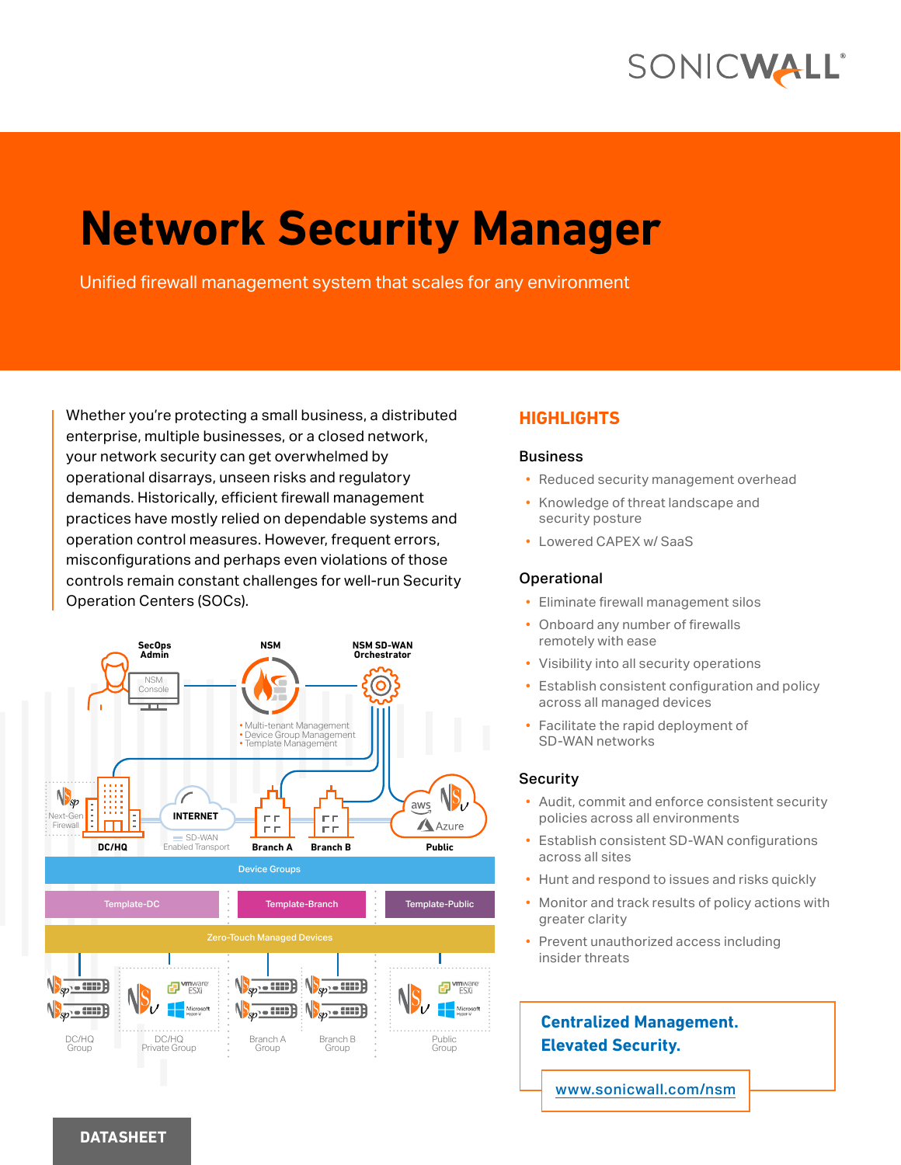## SONICWALL®

# **Network Security Manager**

Unified firewall management system that scales for any environment

Whether you're protecting a small business, a distributed enterprise, multiple businesses, or a closed network, your network security can get overwhelmed by operational disarrays, unseen risks and regulatory demands. Historically, efficient firewall management practices have mostly relied on dependable systems and operation control measures. However, frequent errors, misconfigurations and perhaps even violations of those controls remain constant challenges for well-run Security Operation Centers (SOCs).



#### **HIGHLIGHTS**

#### **Business**

- Reduced security management overhead
- Knowledge of threat landscape and security posture
- Lowered CAPEX w/ SaaS

#### Operational

- Eliminate firewall management silos
- Onboard any number of firewalls remotely with ease
- Visibility into all security operations
- Establish consistent configuration and policy across all managed devices
- Facilitate the rapid deployment of SD-WAN networks

#### **Security**

- Audit, commit and enforce consistent security policies across all environments
- Establish consistent SD-WAN configurations across all sites
- Hunt and respond to issues and risks quickly
- Monitor and track results of policy actions with greater clarity
- Prevent unauthorized access including insider threats

### **Centralized Management. Elevated Security.**

[www.sonicwall.com/nsm](http://www.sonicwall.com/nsm)

#### **DATASHEET**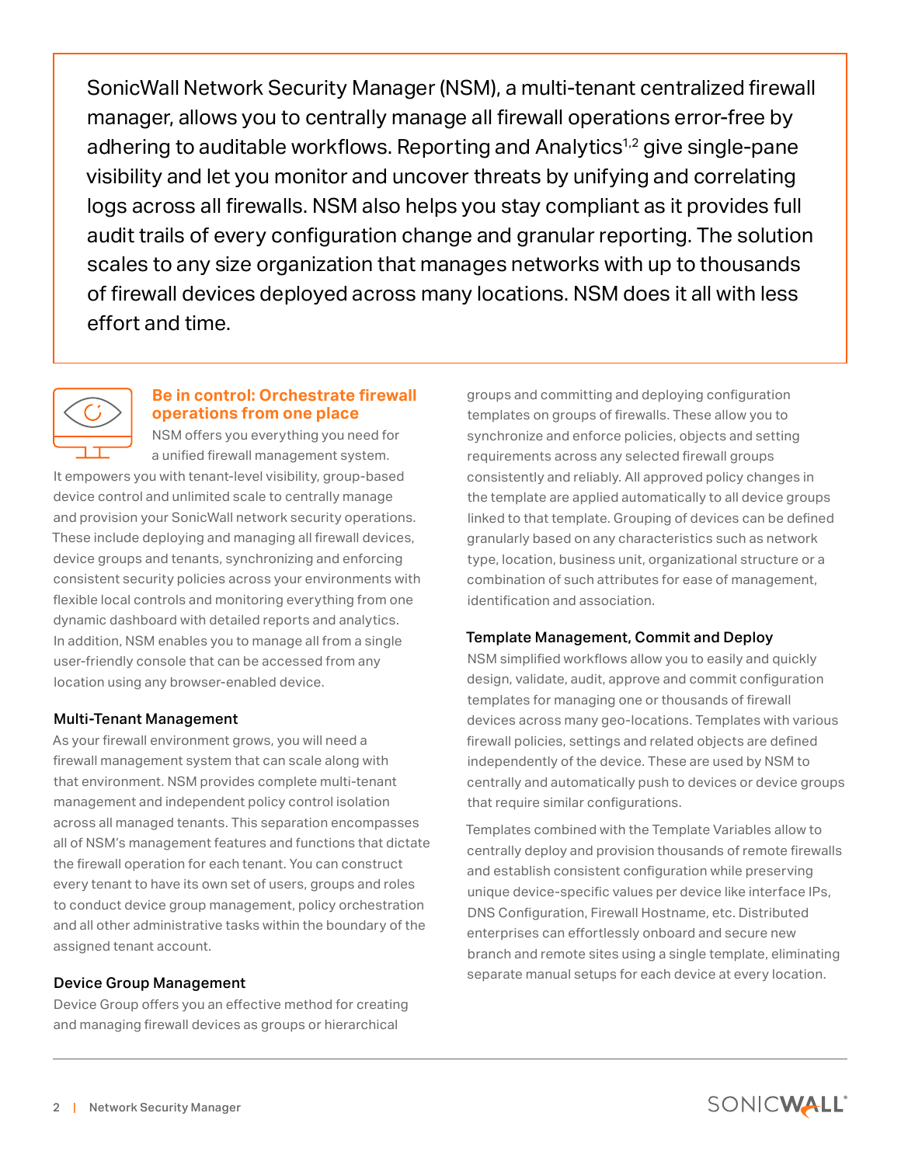SonicWall Network Security Manager (NSM), a multi-tenant centralized firewall manager, allows you to centrally manage all firewall operations error-free by adhering to auditable workflows. Reporting and Analytics<sup>1,2</sup> give single-pane visibility and let you monitor and uncover threats by unifying and correlating logs across all firewalls. NSM also helps you stay compliant as it provides full audit trails of every configuration change and granular reporting. The solution scales to any size organization that manages networks with up to thousands of firewall devices deployed across many locations. NSM does it all with less effort and time.



#### **Be in control: Orchestrate firewall operations from one place**

NSM offers you everything you need for a unified firewall management system.

It empowers you with tenant-level visibility, group-based device control and unlimited scale to centrally manage and provision your SonicWall network security operations. These include deploying and managing all firewall devices, device groups and tenants, synchronizing and enforcing consistent security policies across your environments with flexible local controls and monitoring everything from one dynamic dashboard with detailed reports and analytics. In addition, NSM enables you to manage all from a single user-friendly console that can be accessed from any location using any browser-enabled device.

#### Multi-Tenant Management

As your firewall environment grows, you will need a firewall management system that can scale along with that environment. NSM provides complete multi-tenant management and independent policy control isolation across all managed tenants. This separation encompasses all of NSM's management features and functions that dictate the firewall operation for each tenant. You can construct every tenant to have its own set of users, groups and roles to conduct device group management, policy orchestration and all other administrative tasks within the boundary of the assigned tenant account.

#### Device Group Management

Device Group offers you an effective method for creating and managing firewall devices as groups or hierarchical

groups and committing and deploying configuration templates on groups of firewalls. These allow you to synchronize and enforce policies, objects and setting requirements across any selected firewall groups consistently and reliably. All approved policy changes in the template are applied automatically to all device groups linked to that template. Grouping of devices can be defined granularly based on any characteristics such as network type, location, business unit, organizational structure or a combination of such attributes for ease of management, identification and association.

#### Template Management, Commit and Deploy

NSM simplified workflows allow you to easily and quickly design, validate, audit, approve and commit configuration templates for managing one or thousands of firewall devices across many geo-locations. Templates with various firewall policies, settings and related objects are defined independently of the device. These are used by NSM to centrally and automatically push to devices or device groups that require similar configurations.

Templates combined with the Template Variables allow to centrally deploy and provision thousands of remote firewalls and establish consistent configuration while preserving unique device-specific values per device like interface IPs, DNS Configuration, Firewall Hostname, etc. Distributed enterprises can effortlessly onboard and secure new branch and remote sites using a single template, eliminating separate manual setups for each device at every location.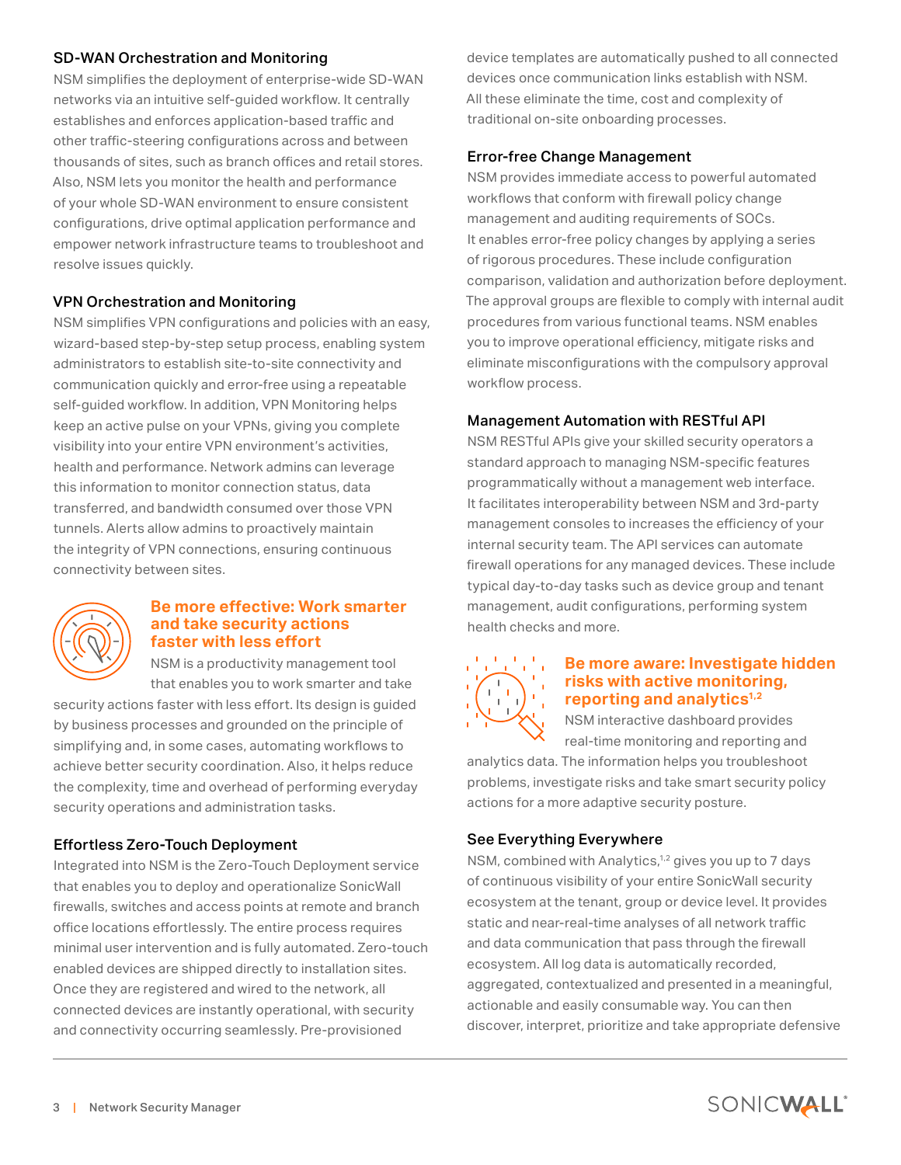#### SD-WAN Orchestration and Monitoring

NSM simplifies the deployment of enterprise-wide SD-WAN networks via an intuitive self-guided workflow. It centrally establishes and enforces application-based traffic and other traffic-steering configurations across and between thousands of sites, such as branch offices and retail stores. Also, NSM lets you monitor the health and performance of your whole SD-WAN environment to ensure consistent configurations, drive optimal application performance and empower network infrastructure teams to troubleshoot and resolve issues quickly.

#### VPN Orchestration and Monitoring

NSM simplifies VPN configurations and policies with an easy, wizard-based step-by-step setup process, enabling system administrators to establish site-to-site connectivity and communication quickly and error-free using a repeatable self-guided workflow. In addition, VPN Monitoring helps keep an active pulse on your VPNs, giving you complete visibility into your entire VPN environment's activities, health and performance. Network admins can leverage this information to monitor connection status, data transferred, and bandwidth consumed over those VPN tunnels. Alerts allow admins to proactively maintain the integrity of VPN connections, ensuring continuous connectivity between sites.



#### **Be more effective: Work smarter and take security actions faster with less effort**

NSM is a productivity management tool that enables you to work smarter and take

security actions faster with less effort. Its design is guided by business processes and grounded on the principle of simplifying and, in some cases, automating workflows to achieve better security coordination. Also, it helps reduce the complexity, time and overhead of performing everyday security operations and administration tasks.

#### Effortless Zero-Touch Deployment

Integrated into NSM is the Zero-Touch Deployment service that enables you to deploy and operationalize SonicWall firewalls, switches and access points at remote and branch office locations effortlessly. The entire process requires minimal user intervention and is fully automated. Zero-touch enabled devices are shipped directly to installation sites. Once they are registered and wired to the network, all connected devices are instantly operational, with security and connectivity occurring seamlessly. Pre-provisioned

device templates are automatically pushed to all connected devices once communication links establish with NSM. All these eliminate the time, cost and complexity of traditional on-site onboarding processes.

#### Error-free Change Management

NSM provides immediate access to powerful automated workflows that conform with firewall policy change management and auditing requirements of SOCs. It enables error-free policy changes by applying a series of rigorous procedures. These include configuration comparison, validation and authorization before deployment. The approval groups are flexible to comply with internal audit procedures from various functional teams. NSM enables you to improve operational efficiency, mitigate risks and eliminate misconfigurations with the compulsory approval workflow process.

#### Management Automation with RESTful API

NSM RESTful APIs give your skilled security operators a standard approach to managing NSM-specific features programmatically without a management web interface. It facilitates interoperability between NSM and 3rd-party management consoles to increases the efficiency of your internal security team. The API services can automate firewall operations for any managed devices. These include typical day-to-day tasks such as device group and tenant management, audit configurations, performing system health checks and more.



#### **Be more aware: Investigate hidden risks with active monitoring, reporting and analytics1,2**

NSM interactive dashboard provides real-time monitoring and reporting and

analytics data. The information helps you troubleshoot problems, investigate risks and take smart security policy actions for a more adaptive security posture.

#### See Everything Everywhere

NSM, combined with Analytics,<sup>1,2</sup> gives you up to 7 days of continuous visibility of your entire SonicWall security ecosystem at the tenant, group or device level. It provides static and near-real-time analyses of all network traffic and data communication that pass through the firewall ecosystem. All log data is automatically recorded, aggregated, contextualized and presented in a meaningful, actionable and easily consumable way. You can then discover, interpret, prioritize and take appropriate defensive

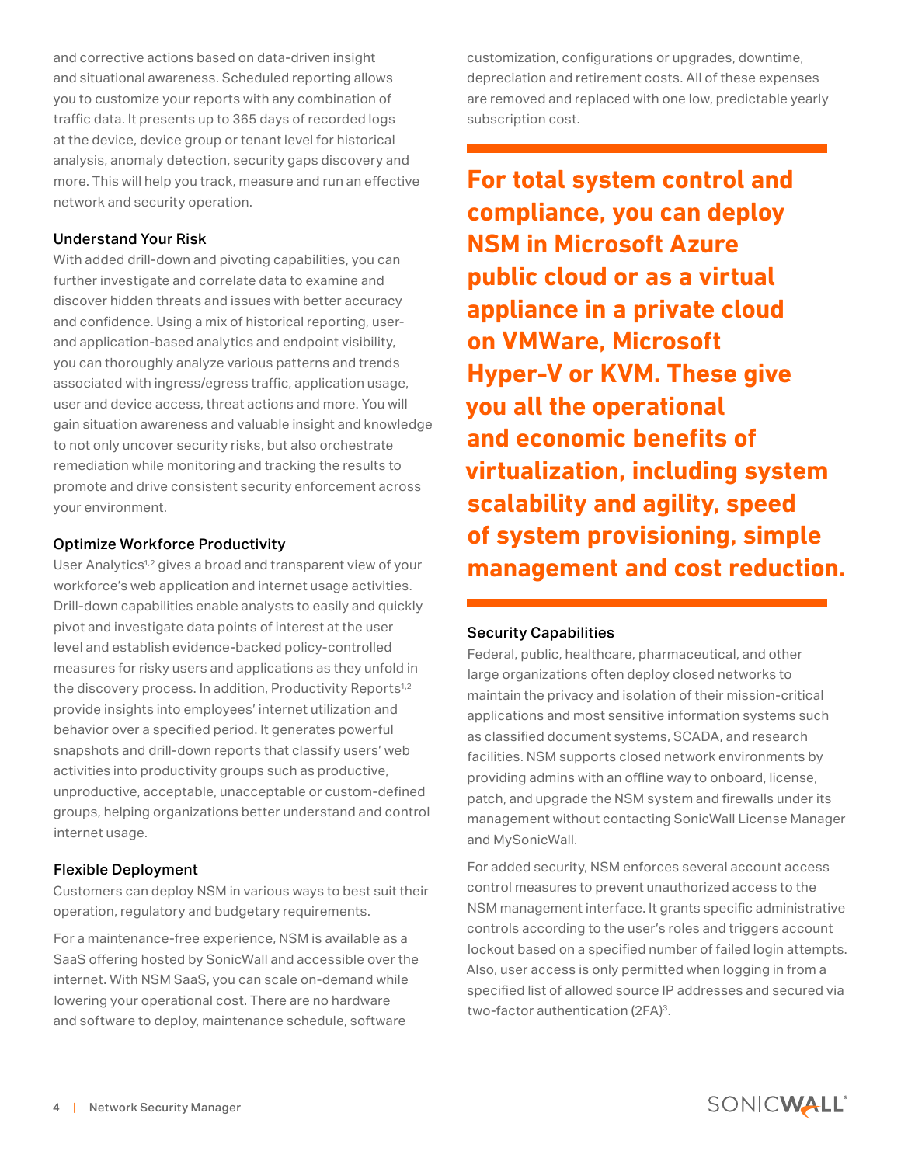and corrective actions based on data-driven insight and situational awareness. Scheduled reporting allows you to customize your reports with any combination of traffic data. It presents up to 365 days of recorded logs at the device, device group or tenant level for historical analysis, anomaly detection, security gaps discovery and more. This will help you track, measure and run an effective network and security operation.

#### Understand Your Risk

With added drill-down and pivoting capabilities, you can further investigate and correlate data to examine and discover hidden threats and issues with better accuracy and confidence. Using a mix of historical reporting, userand application-based analytics and endpoint visibility, you can thoroughly analyze various patterns and trends associated with ingress/egress traffic, application usage, user and device access, threat actions and more. You will gain situation awareness and valuable insight and knowledge to not only uncover security risks, but also orchestrate remediation while monitoring and tracking the results to promote and drive consistent security enforcement across your environment.

#### Optimize Workforce Productivity

User Analytics<sup>1,2</sup> gives a broad and transparent view of your workforce's web application and internet usage activities. Drill-down capabilities enable analysts to easily and quickly pivot and investigate data points of interest at the user level and establish evidence-backed policy-controlled measures for risky users and applications as they unfold in the discovery process. In addition, Productivity Reports<sup>1,2</sup> provide insights into employees' internet utilization and behavior over a specified period. It generates powerful snapshots and drill-down reports that classify users' web activities into productivity groups such as productive, unproductive, acceptable, unacceptable or custom-defined groups, helping organizations better understand and control internet usage.

#### Flexible Deployment

Customers can deploy NSM in various ways to best suit their operation, regulatory and budgetary requirements.

For a maintenance-free experience, NSM is available as a SaaS offering hosted by SonicWall and accessible over the internet. With NSM SaaS, you can scale on-demand while lowering your operational cost. There are no hardware and software to deploy, maintenance schedule, software

customization, configurations or upgrades, downtime, depreciation and retirement costs. All of these expenses are removed and replaced with one low, predictable yearly subscription cost.

**For total system control and compliance, you can deploy NSM in Microsoft Azure public cloud or as a virtual appliance in a private cloud on VMWare, Microsoft Hyper-V or KVM. These give you all the operational and economic benefits of virtualization, including system scalability and agility, speed of system provisioning, simple management and cost reduction.**

#### Security Capabilities

Federal, public, healthcare, pharmaceutical, and other large organizations often deploy closed networks to maintain the privacy and isolation of their mission-critical applications and most sensitive information systems such as classified document systems, SCADA, and research facilities. NSM supports closed network environments by providing admins with an offline way to onboard, license, patch, and upgrade the NSM system and firewalls under its management without contacting SonicWall License Manager and MySonicWall.

For added security, NSM enforces several account access control measures to prevent unauthorized access to the NSM management interface. It grants specific administrative controls according to the user's roles and triggers account lockout based on a specified number of failed login attempts. Also, user access is only permitted when logging in from a specified list of allowed source IP addresses and secured via two-factor authentication (2FA)<sup>3</sup>.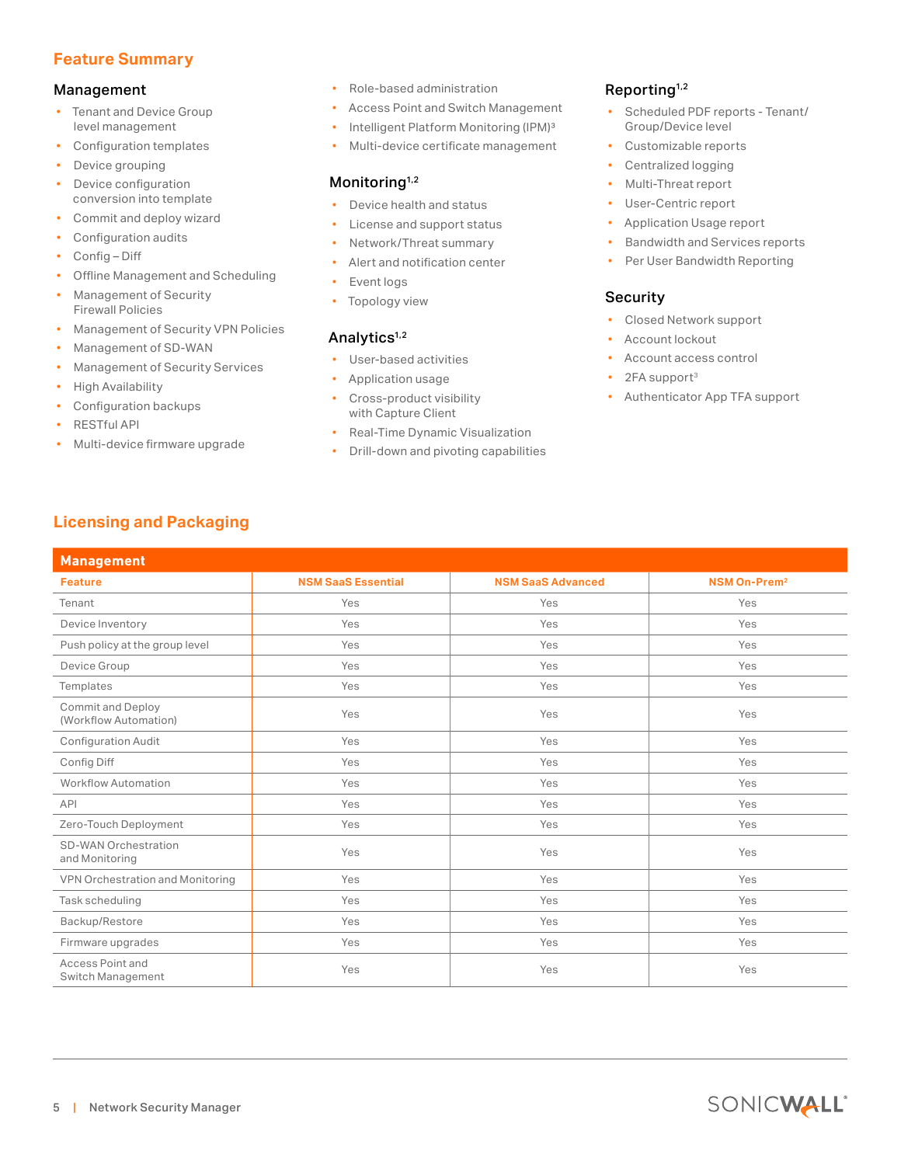#### **Feature Summary**

#### Management

- Tenant and Device Group level management
- Configuration templates
- Device grouping
- Device configuration conversion into template
- Commit and deploy wizard
- Configuration audits
- Config Diff
- Offline Management and Scheduling
- Management of Security Firewall Policies
- Management of Security VPN Policies
- Management of SD-WAN
- Management of Security Services
- High Availability
- Configuration backups
- RESTful API

**Management**

• Multi-device firmware upgrade

**Licensing and Packaging**

- Role-based administration
- Access Point and Switch Management
- Intelligent Platform Monitoring (IPM)<sup>3</sup>
- Multi-device certificate management

#### Monitoring<sup>1,2</sup>

- Device health and status
- License and support status
- Network/Threat summary
- Alert and notification center
- Event logs
- Topology view

#### Analytics<sup>1,2</sup>

- User-based activities
- Application usage
- Cross-product visibility with Capture Client
- Real-Time Dynamic Visualization
- Drill-down and pivoting capabilities

#### Reporting<sup>1,2</sup>

- Scheduled PDF reports Tenant/ Group/Device level
- Customizable reports
- Centralized logging
- Multi-Threat report
- User-Centric report
- Application Usage report
- Bandwidth and Services reports
- Per User Bandwidth Reporting

#### Security

- Closed Network support
- Account lockout
- Account access control
- 2FA support<sup>3</sup>
- Authenticator App TFA support

| <b>Feature</b>                                    | <b>NSM SaaS Essential</b> | <b>NSM SaaS Advanced</b> | <b>NSM On-Prem<sup>2</sup></b> |
|---------------------------------------------------|---------------------------|--------------------------|--------------------------------|
| Tenant                                            | Yes                       | Yes                      | Yes                            |
| Device Inventory                                  | Yes                       | Yes                      | Yes                            |
| Push policy at the group level                    | Yes                       | Yes                      | Yes                            |
| Device Group                                      | Yes                       | Yes                      | Yes                            |
| Templates                                         | Yes                       | Yes                      | Yes                            |
| <b>Commit and Deploy</b><br>(Workflow Automation) | Yes                       | Yes                      | Yes                            |
| <b>Configuration Audit</b>                        | Yes                       | Yes                      | Yes                            |
| Config Diff                                       | Yes                       | Yes                      | Yes                            |
| <b>Workflow Automation</b>                        | Yes                       | Yes                      | Yes                            |
| <b>API</b>                                        | Yes                       | Yes                      | Yes                            |
| Zero-Touch Deployment                             | Yes                       | Yes                      | Yes                            |
| <b>SD-WAN Orchestration</b><br>and Monitoring     | Yes                       | Yes                      | Yes                            |
| VPN Orchestration and Monitoring                  | Yes                       | Yes                      | Yes                            |
| Task scheduling                                   | Yes                       | Yes                      | Yes                            |
| Backup/Restore                                    | Yes                       | Yes                      | Yes                            |
| Firmware upgrades                                 | Yes                       | Yes                      | Yes                            |
| Access Point and<br>Switch Management             | Yes                       | Yes                      | Yes                            |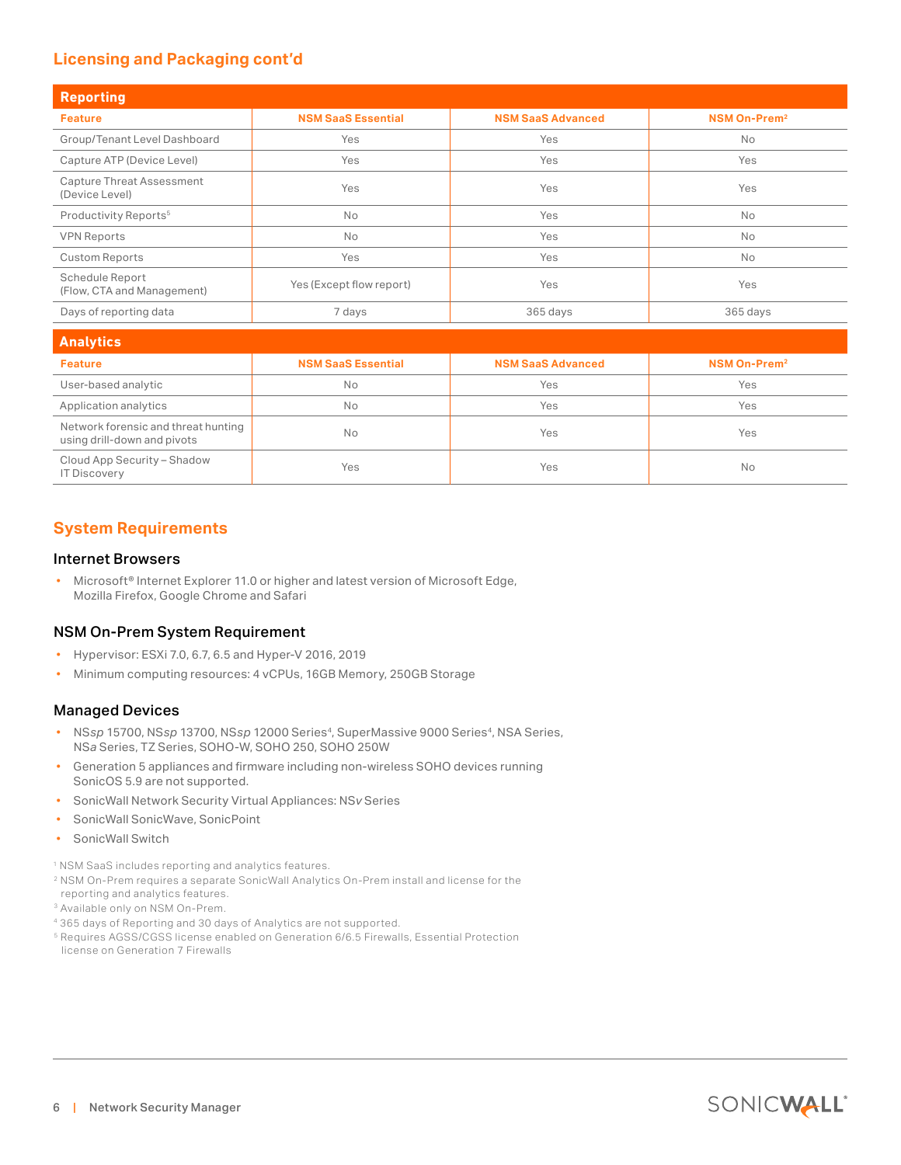#### **Licensing and Packaging cont'd**

| <b>Reporting</b>                                   |                           |                          |                                |  |  |
|----------------------------------------------------|---------------------------|--------------------------|--------------------------------|--|--|
| <b>Feature</b>                                     | <b>NSM SaaS Essential</b> | <b>NSM SaaS Advanced</b> | <b>NSM On-Prem<sup>2</sup></b> |  |  |
| Group/Tenant Level Dashboard                       | Yes                       | Yes                      | <b>No</b>                      |  |  |
| Capture ATP (Device Level)                         | Yes                       | Yes                      | Yes                            |  |  |
| <b>Capture Threat Assessment</b><br>(Device Level) | Yes                       | Yes                      | Yes                            |  |  |
| Productivity Reports <sup>5</sup>                  | <b>No</b>                 | Yes                      | <b>No</b>                      |  |  |
| <b>VPN Reports</b>                                 | <b>No</b>                 | Yes                      | <b>No</b>                      |  |  |
| <b>Custom Reports</b>                              | Yes                       | Yes                      | <b>No</b>                      |  |  |
| Schedule Report<br>(Flow, CTA and Management)      | Yes (Except flow report)  | Yes                      | Yes                            |  |  |
| Days of reporting data                             | 7 days                    | 365 days                 | 365 days                       |  |  |

| <b>Analytics</b>                                                   |                           |                          |                          |  |  |
|--------------------------------------------------------------------|---------------------------|--------------------------|--------------------------|--|--|
| <b>Feature</b>                                                     | <b>NSM SaaS Essential</b> | <b>NSM SaaS Advanced</b> | NSM On-Prem <sup>2</sup> |  |  |
| User-based analytic                                                | No                        | Yes                      | Yes                      |  |  |
| Application analytics                                              | <b>No</b>                 | Yes                      | Yes                      |  |  |
| Network forensic and threat hunting<br>using drill-down and pivots | <b>No</b>                 | Yes                      | Yes                      |  |  |
| Cloud App Security - Shadow<br><b>IT Discovery</b>                 | Yes                       | Yes                      | <b>No</b>                |  |  |

#### **System Requirements**

#### Internet Browsers

• Microsoft® Internet Explorer 11.0 or higher and latest version of Microsoft Edge, Mozilla Firefox, Google Chrome and Safari

#### NSM On-Prem System Requirement

- Hypervisor: ESXi 7.0, 6.7, 6.5 and Hyper-V 2016, 2019
- Minimum computing resources: 4 vCPUs, 16GB Memory, 250GB Storage

#### Managed Devices

- NSsp 15700, NSsp 13700, NSsp 12000 Series<sup>4</sup>, SuperMassive 9000 Series<sup>4</sup>, NSA Series, NS*a* Series, TZ Series, SOHO-W, SOHO 250, SOHO 250W
- Generation 5 appliances and firmware including non-wireless SOHO devices running SonicOS 5.9 are not supported.
- SonicWall Network Security Virtual Appliances: NS*v* Series
- SonicWall SonicWave, SonicPoint
- SonicWall Switch

<sup>1</sup> NSM SaaS includes reporting and analytics features.

- <sup>2</sup> NSM On-Prem requires a separate SonicWall Analytics On-Prem install and license for the reporting and analytics features.
- <sup>3</sup> Available only on NSM On-Prem.
- 4 365 days of Reporting and 30 days of Analytics are not supported.
- <sup>5</sup> Requires AGSS/CGSS license enabled on Generation 6/6.5 Firewalls, Essential Protection license on Generation 7 Firewalls